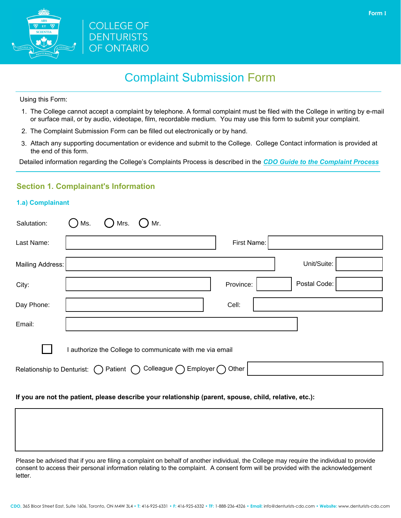



# Complaint Submission Form

Using this Form:

- 1. The College cannot accept a complaint by telephone. A formal complaint must be filed with the College in writing by e-mail or surface mail, or by audio, videotape, film, recordable medium. You may use this form to submit your complaint.
- 2. The Complaint Submission Form can be filled out electronically or by hand.
- 3. Attach any supporting documentation or evidence and submit to the College. College Contact information is provided at the end of this form.

Detailed information regarding the College's Complaints Process is described in the *[CDO Guide to the Complaint Process](http://www.denturists-cdo.com/Resources/Guides-Checklists-Forms-and-Documents/Complaints/CDO-Guide-to-the-Complaint-Process-Final.aspx)*

### **Section 1. Complainant's Information**

### **1.a) Complainant**

| Salutation:                | Mr.<br>Ms.<br>Mrs.                                       |
|----------------------------|----------------------------------------------------------|
| Last Name:                 | First Name:                                              |
| Mailing Address:           | Unit/Suite:                                              |
| City:                      | Postal Code:<br>Province:                                |
| Day Phone:                 | Cell:                                                    |
| Email:                     |                                                          |
|                            | I authorize the College to communicate with me via email |
| Relationship to Denturist: | Colleague $\bigcap$<br>Employer (<br>Other<br>Patient (  |

#### **If you are not the patient, please describe your relationship (parent, spouse, child, relative, etc.):**

Please be advised that if you are filing a complaint on behalf of another individual, the College may require the individual to provide consent to access their personal information relating to the complaint. A consent form will be provided with the acknowledgement letter.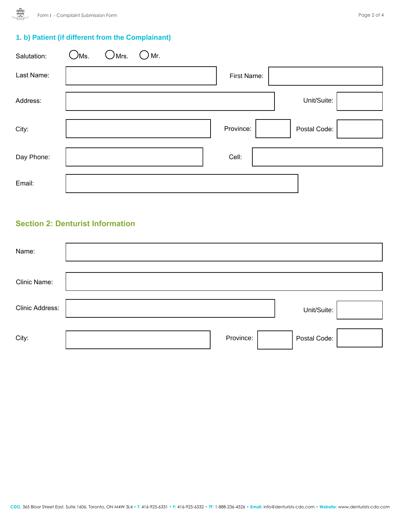## **1. b) Patient (if different from the Complainant)**

| Salutation: | Жs.<br>Mrs. | Mr. |             |              |  |
|-------------|-------------|-----|-------------|--------------|--|
| Last Name:  |             |     | First Name: |              |  |
| Address:    |             |     |             | Unit/Suite:  |  |
| City:       |             |     | Province:   | Postal Code: |  |
| Day Phone:  |             |     | Cell:       |              |  |
| Email:      |             |     |             |              |  |

### **Section 2: Denturist Information**

| Name:           |           |              |
|-----------------|-----------|--------------|
| Clinic Name:    |           |              |
| Clinic Address: |           | Unit/Suite:  |
| City:           | Province: | Postal Code: |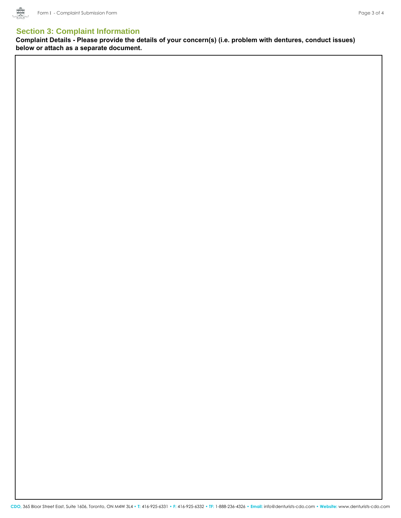

### **Section 3: Complaint Information**

**Complaint Details - Please provide the details of your concern(s) (i.e. problem with dentures, conduct issues) below or attach as a separate document.**